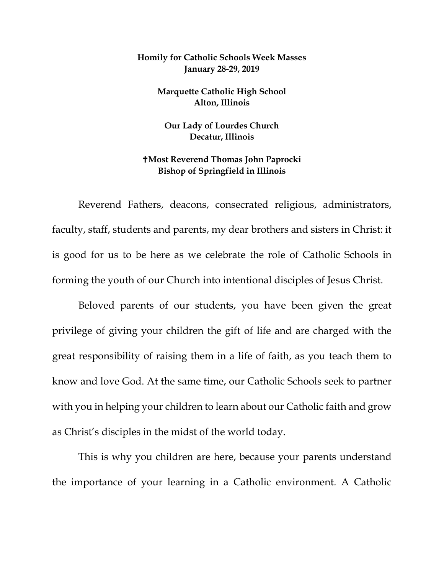## **Homily for Catholic Schools Week Masses January 28-29, 2019**

**Marquette Catholic High School Alton, Illinois**

**Our Lady of Lourdes Church Decatur, Illinois**

## **Most Reverend Thomas John Paprocki Bishop of Springfield in Illinois**

Reverend Fathers, deacons, consecrated religious, administrators, faculty, staff, students and parents, my dear brothers and sisters in Christ: it is good for us to be here as we celebrate the role of Catholic Schools in forming the youth of our Church into intentional disciples of Jesus Christ.

Beloved parents of our students, you have been given the great privilege of giving your children the gift of life and are charged with the great responsibility of raising them in a life of faith, as you teach them to know and love God. At the same time, our Catholic Schools seek to partner with you in helping your children to learn about our Catholic faith and grow as Christ's disciples in the midst of the world today.

This is why you children are here, because your parents understand the importance of your learning in a Catholic environment. A Catholic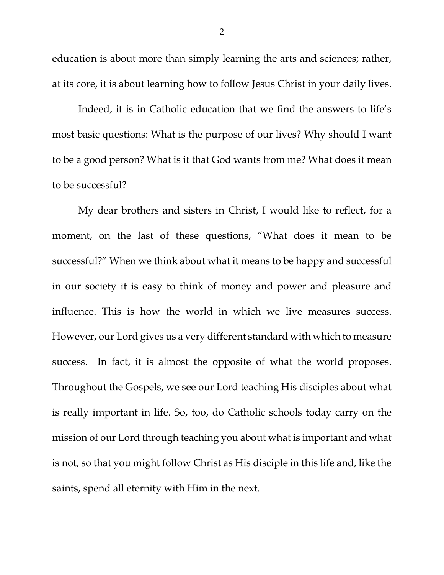education is about more than simply learning the arts and sciences; rather, at its core, it is about learning how to follow Jesus Christ in your daily lives.

Indeed, it is in Catholic education that we find the answers to life's most basic questions: What is the purpose of our lives? Why should I want to be a good person? What is it that God wants from me? What does it mean to be successful?

My dear brothers and sisters in Christ, I would like to reflect, for a moment, on the last of these questions, "What does it mean to be successful?" When we think about what it means to be happy and successful in our society it is easy to think of money and power and pleasure and influence. This is how the world in which we live measures success. However, our Lord gives us a very different standard with which to measure success. In fact, it is almost the opposite of what the world proposes. Throughout the Gospels, we see our Lord teaching His disciples about what is really important in life. So, too, do Catholic schools today carry on the mission of our Lord through teaching you about what is important and what is not, so that you might follow Christ as His disciple in this life and, like the saints, spend all eternity with Him in the next.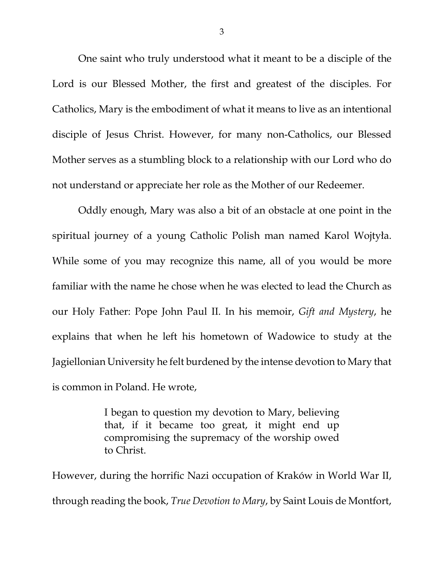<span id="page-2-1"></span><span id="page-2-0"></span>One saint who truly understood what it meant to be a disciple of the Lord is our Blessed Mother, the first and greatest of the disciples. For Catholics, Mary is the embodiment of what it means to live as an intentional disciple of Jesus Christ. However, for many non-Catholics, our Blessed Mother serves as a stumbling block to a relationship with our Lord who do not understand or appreciate her role as the Mother of our Redeemer.

Oddly enough, Mary was also a bit of an obstacle at one point in the spiritual journey of a young Catholic Polish man named Karol Wojtyła. While some of you may recognize this name, all of you would be more familiar with the name he chose when he was elected to lead the Church as our Holy Father: Pope John Paul II. In his memoir, *Gift and Mystery*, he explains that when he left his hometown of Wadowice to study at the Jagiellonian University he felt burdened by the intense devotion to Mary that is common in Poland. He wrote,

> I began to question my devotion to Mary, believing that, if it became too great, it might end up compromising the supremacy of the worship owed to Christ.

However, during the horrific Nazi occupation of Kraków in World War II, through reading the book, *True Devotion to Mary*, by Saint Louis de Montfort,

3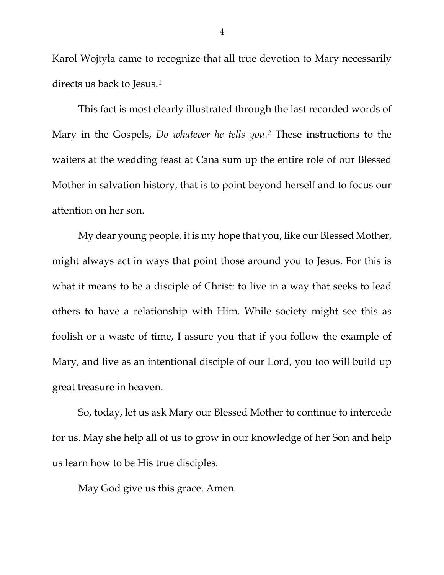Karol Wojtyła came to recognize that all true devotion to Mary necessarily directs us back to Jesus.<sup>[1](#page-2-0)</sup>

This fact is most clearly illustrated through the last recorded words of Mary in the Gospels, *Do whatever he tells you[.2](#page-2-1)* These instructions to the waiters at the wedding feast at Cana sum up the entire role of our Blessed Mother in salvation history, that is to point beyond herself and to focus our attention on her son.

My dear young people, it is my hope that you, like our Blessed Mother, might always act in ways that point those around you to Jesus. For this is what it means to be a disciple of Christ: to live in a way that seeks to lead others to have a relationship with Him. While society might see this as foolish or a waste of time, I assure you that if you follow the example of Mary, and live as an intentional disciple of our Lord, you too will build up great treasure in heaven.

So, today, let us ask Mary our Blessed Mother to continue to intercede for us. May she help all of us to grow in our knowledge of her Son and help us learn how to be His true disciples.

May God give us this grace. Amen.